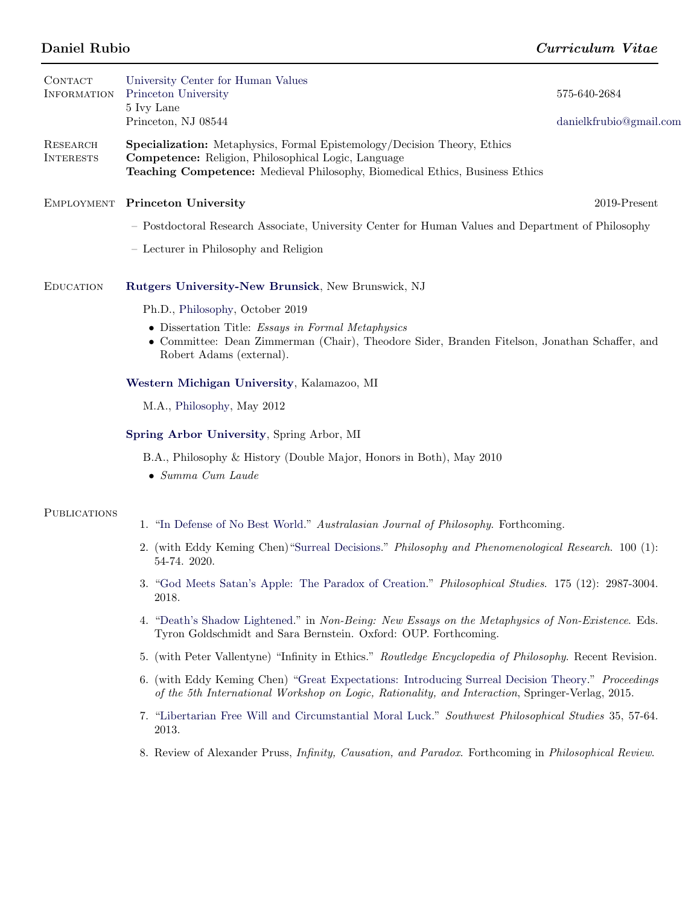| <b>CONTACT</b><br><b>INFORMATION</b> | University Center for Human Values<br>Princeton University<br>5 Ivy Lane                                                                                                                                               | 575-640-2684            |  |
|--------------------------------------|------------------------------------------------------------------------------------------------------------------------------------------------------------------------------------------------------------------------|-------------------------|--|
|                                      | Princeton, NJ 08544                                                                                                                                                                                                    | danielkfrubio@gmail.com |  |
| <b>RESEARCH</b><br><b>INTERESTS</b>  | <b>Specialization:</b> Metaphysics, Formal Epistemology/Decision Theory, Ethics<br>Competence: Religion, Philosophical Logic, Language<br>Teaching Competence: Medieval Philosophy, Biomedical Ethics, Business Ethics |                         |  |
| <b>EMPLOYMENT</b>                    | <b>Princeton University</b>                                                                                                                                                                                            | 2019-Present            |  |
|                                      | - Postdoctoral Research Associate, University Center for Human Values and Department of Philosophy                                                                                                                     |                         |  |
|                                      | - Lecturer in Philosophy and Religion                                                                                                                                                                                  |                         |  |
| <b>EDUCATION</b>                     | Rutgers University-New Brunsick, New Brunswick, NJ                                                                                                                                                                     |                         |  |
|                                      | Ph.D., Philosophy, October 2019                                                                                                                                                                                        |                         |  |
|                                      | • Dissertation Title: Essays in Formal Metaphysics<br>• Committee: Dean Zimmerman (Chair), Theodore Sider, Branden Fitelson, Jonathan Schaffer, and<br>Robert Adams (external).                                        |                         |  |
|                                      | Western Michigan University, Kalamazoo, MI                                                                                                                                                                             |                         |  |
|                                      | M.A., Philosophy, May 2012                                                                                                                                                                                             |                         |  |
|                                      |                                                                                                                                                                                                                        |                         |  |
|                                      | B.A., Philosophy & History (Double Major, Honors in Both), May 2010<br>$\bullet$ Summa Cum Laude                                                                                                                       |                         |  |
| <b>PUBLICATIONS</b>                  |                                                                                                                                                                                                                        |                         |  |
|                                      | 1. "In Defense of No Best World." Australasian Journal of Philosophy. Forthcoming.                                                                                                                                     |                         |  |
|                                      | 2. (with Eddy Keming Chen) "Surreal Decisions." Philosophy and Phenomenological Research. 100 (1):<br>54-74. 2020.                                                                                                     |                         |  |
|                                      | 3. "God Meets Satan's Apple: The Paradox of Creation." Philosophical Studies. 175 (12): 2987-3004.<br>2018.                                                                                                            |                         |  |
|                                      | 4. "Death's Shadow Lightened." in Non-Being: New Essays on the Metaphysics of Non-Existence. Eds.<br>Tyron Goldschmidt and Sara Bernstein. Oxford: OUP. Forthcoming.                                                   |                         |  |
|                                      | 5. (with Peter Vallentyne) "Infinity in Ethics." Routledge Encyclopedia of Philosophy. Recent Revision.                                                                                                                |                         |  |
|                                      | 6. (with Eddy Keming Chen) "Great Expectations: Introducing Surreal Decision Theory." Proceedings<br>of the 5th International Workshop on Logic, Rationality, and Interaction, Springer-Verlag, 2015.                  |                         |  |
|                                      | 7. "Libertarian Free Will and Circumstantial Moral Luck." Southwest Philosophical Studies 35, 57-64.<br>2013.                                                                                                          |                         |  |
|                                      | 8. Review of Alexander Pruss, <i>Infinity, Causation, and Paradox.</i> Forthcoming in <i>Philosophical Review.</i>                                                                                                     |                         |  |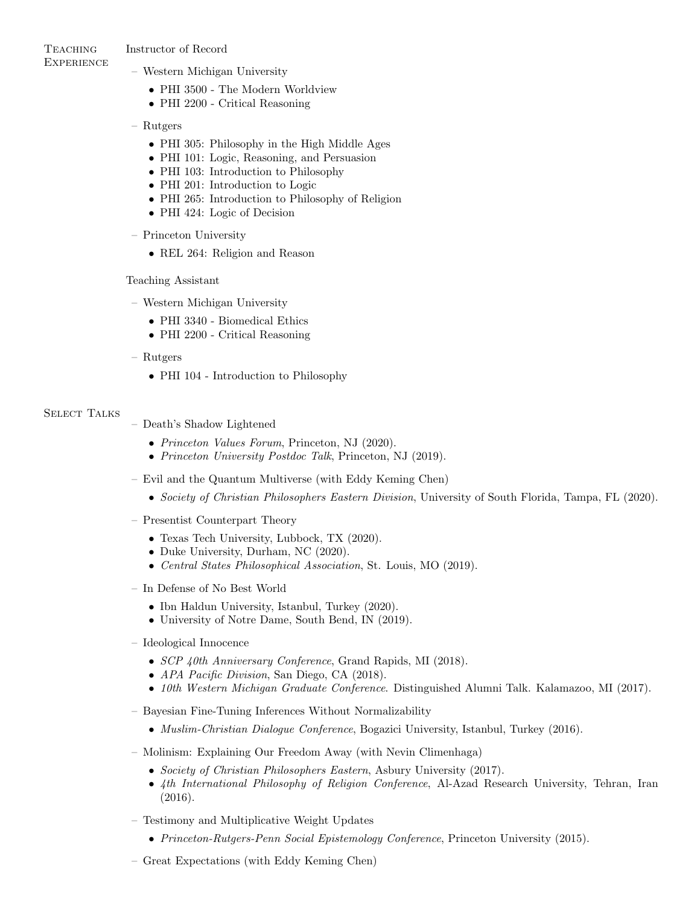**TEACHING EXPERIENCE** 

## Instructor of Record

- Western Michigan University
	- PHI 3500 The Modern Worldview
	- PHI 2200 Critical Reasoning

## – Rutgers

- PHI 305: Philosophy in the High Middle Ages
- PHI 101: Logic, Reasoning, and Persuasion
- PHI 103: Introduction to Philosophy
- PHI 201: Introduction to Logic
- PHI 265: Introduction to Philosophy of Religion
- PHI 424: Logic of Decision
- Princeton University
	- REL 264: Religion and Reason

## Teaching Assistant

- Western Michigan University
	- PHI 3340 Biomedical Ethics
	- PHI 2200 Critical Reasoning
- Rutgers
	- PHI 104 Introduction to Philosophy

## SELECT TALKS

- Death's Shadow Lightened
	- *Princeton Values Forum*, Princeton, NJ (2020).
	- Princeton University Postdoc Talk, Princeton, NJ (2019).
- Evil and the Quantum Multiverse (with Eddy Keming Chen)
	- Society of Christian Philosophers Eastern Division, University of South Florida, Tampa, FL (2020).
- Presentist Counterpart Theory
	- Texas Tech University, Lubbock, TX (2020).
	- Duke University, Durham, NC (2020).
	- Central States Philosophical Association, St. Louis, MO (2019).
- In Defense of No Best World
	- Ibn Haldun University, Istanbul, Turkey (2020).
	- University of Notre Dame, South Bend, IN (2019).
- Ideological Innocence
	- SCP 40th Anniversary Conference, Grand Rapids, MI (2018).
	- APA Pacific Division, San Diego, CA (2018).
	- 10th Western Michigan Graduate Conference. Distinguished Alumni Talk. Kalamazoo, MI (2017).
- Bayesian Fine-Tuning Inferences Without Normalizability
	- Muslim-Christian Dialogue Conference, Bogazici University, Istanbul, Turkey (2016).
- Molinism: Explaining Our Freedom Away (with Nevin Climenhaga)
	- Society of Christian Philosophers Eastern, Asbury University (2017).
	- 4th International Philosophy of Religion Conference, Al-Azad Research University, Tehran, Iran (2016).
- Testimony and Multiplicative Weight Updates
	- Princeton-Rutgers-Penn Social Epistemology Conference, Princeton University (2015).
- Great Expectations (with Eddy Keming Chen)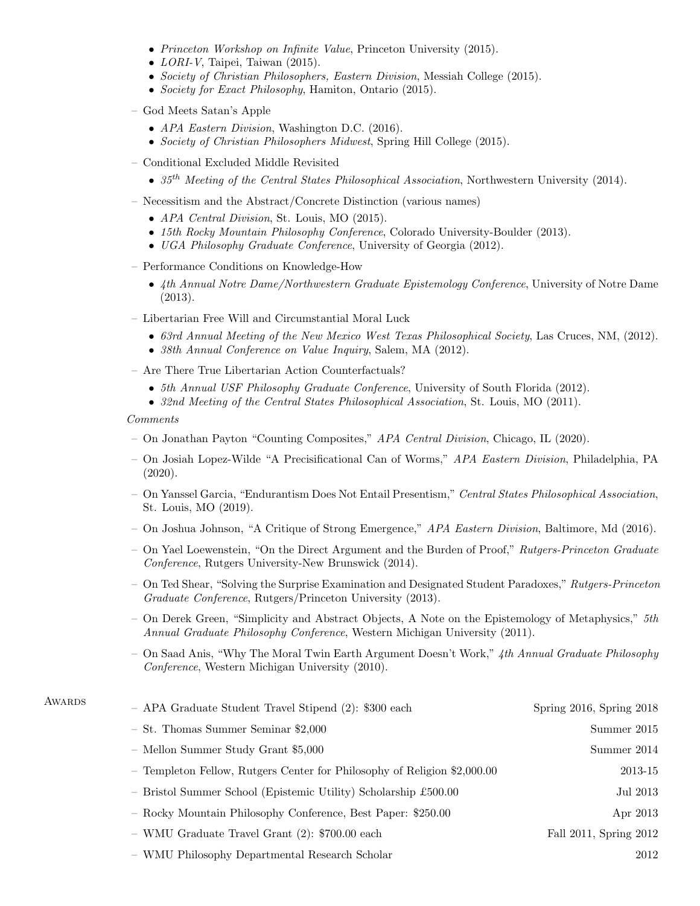- Princeton Workshop on Infinite Value, Princeton University (2015).
- $LORI-V$ , Taipei, Taiwan (2015).
- Society of Christian Philosophers, Eastern Division, Messiah College (2015).
- Society for Exact Philosophy, Hamiton, Ontario (2015).
- God Meets Satan's Apple
	- APA Eastern Division, Washington D.C. (2016).
	- Society of Christian Philosophers Midwest, Spring Hill College (2015).
- Conditional Excluded Middle Revisited
	- $35<sup>th</sup> Meeting of the Central States Philosophical Association, Northwestern University (2014).$
- Necessitism and the Abstract/Concrete Distinction (various names)
	- APA Central Division, St. Louis, MO (2015).
	- 15th Rocky Mountain Philosophy Conference, Colorado University-Boulder (2013).
	- UGA Philosophy Graduate Conference, University of Georgia (2012).
- Performance Conditions on Knowledge-How
	- 4th Annual Notre Dame/Northwestern Graduate Epistemology Conference, University of Notre Dame (2013).
- Libertarian Free Will and Circumstantial Moral Luck
	- 63rd Annual Meeting of the New Mexico West Texas Philosophical Society, Las Cruces, NM, (2012).
	- 38th Annual Conference on Value Inquiry, Salem, MA (2012).
- Are There True Libertarian Action Counterfactuals?
	- 5th Annual USF Philosophy Graduate Conference, University of South Florida (2012).
	- 32nd Meeting of the Central States Philosophical Association, St. Louis, MO (2011).

Comments

- On Jonathan Payton "Counting Composites," APA Central Division, Chicago, IL (2020).
- On Josiah Lopez-Wilde "A Precisificational Can of Worms," APA Eastern Division, Philadelphia, PA (2020).
- On Yanssel Garcia, "Endurantism Does Not Entail Presentism," Central States Philosophical Association, St. Louis, MO (2019).
- On Joshua Johnson, "A Critique of Strong Emergence," APA Eastern Division, Baltimore, Md (2016).
- On Yael Loewenstein, "On the Direct Argument and the Burden of Proof," Rutgers-Princeton Graduate Conference, Rutgers University-New Brunswick (2014).
- On Ted Shear, "Solving the Surprise Examination and Designated Student Paradoxes," Rutgers-Princeton Graduate Conference, Rutgers/Princeton University (2013).
- On Derek Green, "Simplicity and Abstract Objects, A Note on the Epistemology of Metaphysics,"  $5th$ Annual Graduate Philosophy Conference, Western Michigan University (2011).
- On Saad Anis, "Why The Moral Twin Earth Argument Doesn't Work," 4th Annual Graduate Philosophy Conference, Western Michigan University (2010).

| AWARDS | - APA Graduate Student Travel Stipend (2): \$300 each                    | Spring $2016$ , Spring $2018$ |
|--------|--------------------------------------------------------------------------|-------------------------------|
|        | $-$ St. Thomas Summer Seminar \$2,000                                    | Summer 2015                   |
|        | - Mellon Summer Study Grant \$5,000                                      | Summer 2014                   |
|        | - Templeton Fellow, Rutgers Center for Philosophy of Religion \$2,000.00 | 2013-15                       |
|        | - Bristol Summer School (Epistemic Utility) Scholarship £500.00          | Jul 2013                      |
|        | - Rocky Mountain Philosophy Conference, Best Paper: \$250.00             | Apr 2013                      |
|        | - WMU Graduate Travel Grant (2): \$700.00 each                           | Fall 2011, Spring 2012        |
|        |                                                                          |                               |

– WMU Philosophy Departmental Research Scholar 2012